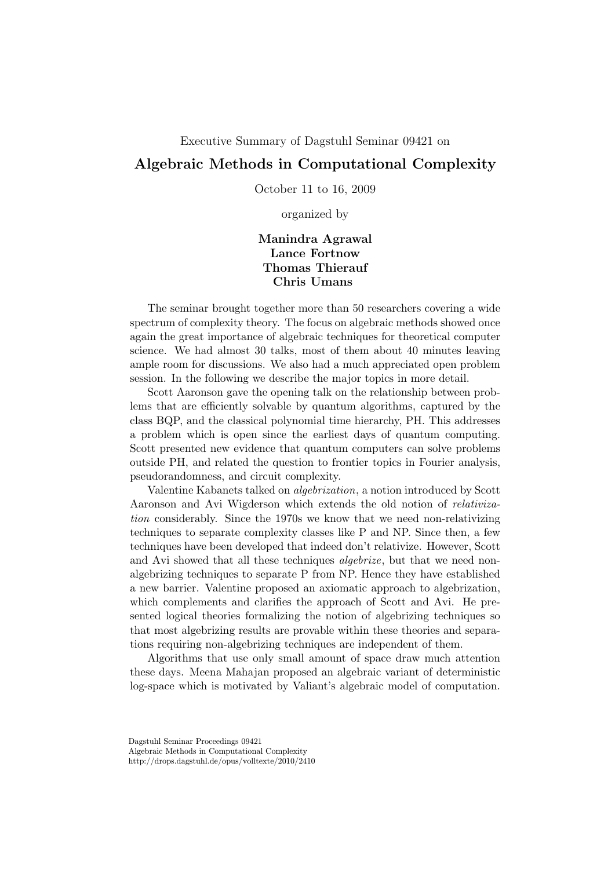## Executive Summary of Dagstuhl Seminar 09421 on

## Algebraic Methods in Computational Complexity

October 11 to 16, 2009

organized by

## Manindra Agrawal Lance Fortnow Thomas Thierauf Chris Umans

The seminar brought together more than 50 researchers covering a wide spectrum of complexity theory. The focus on algebraic methods showed once again the great importance of algebraic techniques for theoretical computer science. We had almost 30 talks, most of them about 40 minutes leaving ample room for discussions. We also had a much appreciated open problem session. In the following we describe the major topics in more detail.

Scott Aaronson gave the opening talk on the relationship between problems that are efficiently solvable by quantum algorithms, captured by the class BQP, and the classical polynomial time hierarchy, PH. This addresses a problem which is open since the earliest days of quantum computing. Scott presented new evidence that quantum computers can solve problems outside PH, and related the question to frontier topics in Fourier analysis, pseudorandomness, and circuit complexity.

Valentine Kabanets talked on algebrization, a notion introduced by Scott Aaronson and Avi Wigderson which extends the old notion of relativization considerably. Since the 1970s we know that we need non-relativizing techniques to separate complexity classes like P and NP. Since then, a few techniques have been developed that indeed don't relativize. However, Scott and Avi showed that all these techniques algebrize, but that we need nonalgebrizing techniques to separate P from NP. Hence they have established a new barrier. Valentine proposed an axiomatic approach to algebrization, which complements and clarifies the approach of Scott and Avi. He presented logical theories formalizing the notion of algebrizing techniques so that most algebrizing results are provable within these theories and separations requiring non-algebrizing techniques are independent of them.

Algorithms that use only small amount of space draw much attention these days. Meena Mahajan proposed an algebraic variant of deterministic log-space which is motivated by Valiant's algebraic model of computation.

http://drops.dagstuhl.de/opus/volltexte/2010/2410

Dagstuhl Seminar Proceedings 09421

Algebraic Methods in Computational Complexity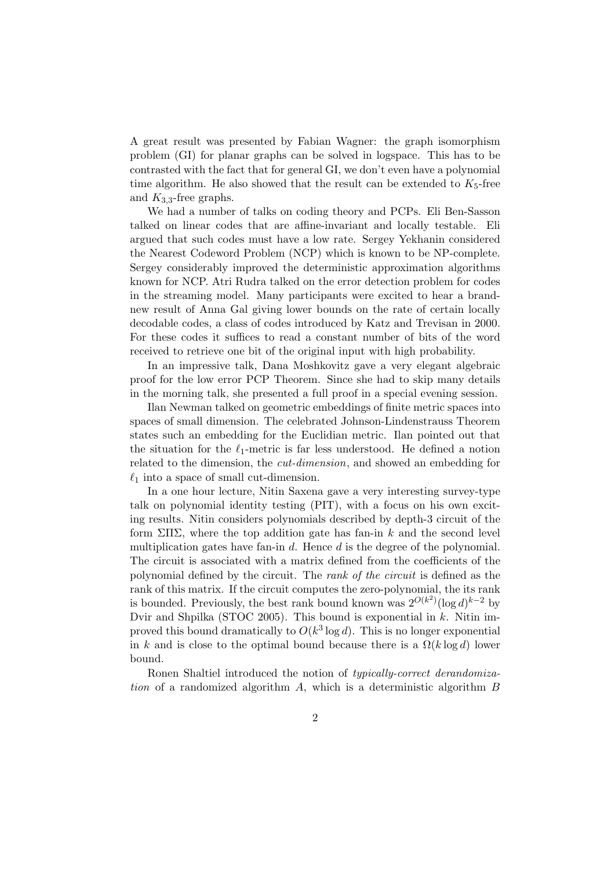A great result was presented by Fabian Wagner: the graph isomorphism problem (GI) for planar graphs can be solved in logspace. This has to be contrasted with the fact that for general GI, we don't even have a polynomial time algorithm. He also showed that the result can be extended to  $K_5$ -free and  $K_{3,3}$ -free graphs.

We had a number of talks on coding theory and PCPs. Eli Ben-Sasson talked on linear codes that are affine-invariant and locally testable. Eli argued that such codes must have a low rate. Sergey Yekhanin considered the Nearest Codeword Problem (NCP) which is known to be NP-complete. Sergey considerably improved the deterministic approximation algorithms known for NCP. Atri Rudra talked on the error detection problem for codes in the streaming model. Many participants were excited to hear a brandnew result of Anna Gal giving lower bounds on the rate of certain locally decodable codes, a class of codes introduced by Katz and Trevisan in 2000. For these codes it suffices to read a constant number of bits of the word received to retrieve one bit of the original input with high probability.

In an impressive talk, Dana Moshkovitz gave a very elegant algebraic proof for the low error PCP Theorem. Since she had to skip many details in the morning talk, she presented a full proof in a special evening session.

Ilan Newman talked on geometric embeddings of finite metric spaces into spaces of small dimension. The celebrated Johnson-Lindenstrauss Theorem states such an embedding for the Euclidian metric. Ilan pointed out that the situation for the  $\ell_1$ -metric is far less understood. He defined a notion related to the dimension, the cut-dimension, and showed an embedding for  $\ell_1$  into a space of small cut-dimension.

In a one hour lecture, Nitin Saxena gave a very interesting survey-type talk on polynomial identity testing (PIT), with a focus on his own exciting results. Nitin considers polynomials described by depth-3 circuit of the form  $\Sigma\Pi\Sigma$ , where the top addition gate has fan-in k and the second level multiplication gates have fan-in  $d$ . Hence  $d$  is the degree of the polynomial. The circuit is associated with a matrix defined from the coefficients of the polynomial defined by the circuit. The rank of the circuit is defined as the rank of this matrix. If the circuit computes the zero-polynomial, the its rank is bounded. Previously, the best rank bound known was  $2^{O(k^2)}(\log d)^{k-2}$  by Dvir and Shpilka (STOC 2005). This bound is exponential in  $k$ . Nitin improved this bound dramatically to  $O(k^3 \log d)$ . This is no longer exponential in k and is close to the optimal bound because there is a  $\Omega(k \log d)$  lower bound.

Ronen Shaltiel introduced the notion of typically-correct derandomization of a randomized algorithm  $A$ , which is a deterministic algorithm  $B$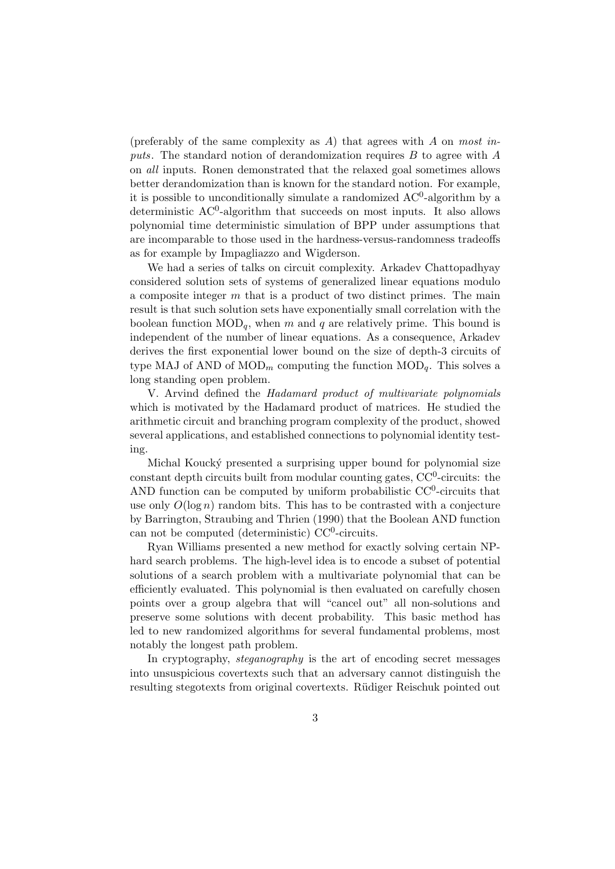(preferably of the same complexity as A) that agrees with A on most inputs. The standard notion of derandomization requires  $B$  to agree with  $A$ on all inputs. Ronen demonstrated that the relaxed goal sometimes allows better derandomization than is known for the standard notion. For example, it is possible to unconditionally simulate a randomized  $AC^0$ -algorithm by a deterministic AC<sup>0</sup>-algorithm that succeeds on most inputs. It also allows polynomial time deterministic simulation of BPP under assumptions that are incomparable to those used in the hardness-versus-randomness tradeoffs as for example by Impagliazzo and Wigderson.

We had a series of talks on circuit complexity. Arkadev Chattopadhyay considered solution sets of systems of generalized linear equations modulo a composite integer  $m$  that is a product of two distinct primes. The main result is that such solution sets have exponentially small correlation with the boolean function  $\text{MOD}_q$ , when m and q are relatively prime. This bound is independent of the number of linear equations. As a consequence, Arkadev derives the first exponential lower bound on the size of depth-3 circuits of type MAJ of AND of MOD<sub>m</sub> computing the function MOD<sub>q</sub>. This solves a long standing open problem.

V. Arvind defined the Hadamard product of multivariate polynomials which is motivated by the Hadamard product of matrices. He studied the arithmetic circuit and branching program complexity of the product, showed several applications, and established connections to polynomial identity testing.

Michal Koucký presented a surprising upper bound for polynomial size  $\alpha$  constant depth circuits built from modular counting gates,  $CC^0$ -circuits: the AND function can be computed by uniform probabilistic  $CC<sup>0</sup>$ -circuits that use only  $O(\log n)$  random bits. This has to be contrasted with a conjecture by Barrington, Straubing and Thrien (1990) that the Boolean AND function can not be computed (deterministic)  $CC^0$ -circuits.

Ryan Williams presented a new method for exactly solving certain NPhard search problems. The high-level idea is to encode a subset of potential solutions of a search problem with a multivariate polynomial that can be efficiently evaluated. This polynomial is then evaluated on carefully chosen points over a group algebra that will "cancel out" all non-solutions and preserve some solutions with decent probability. This basic method has led to new randomized algorithms for several fundamental problems, most notably the longest path problem.

In cryptography, steganography is the art of encoding secret messages into unsuspicious covertexts such that an adversary cannot distinguish the resulting stegotexts from original covertexts. Rüdiger Reischuk pointed out